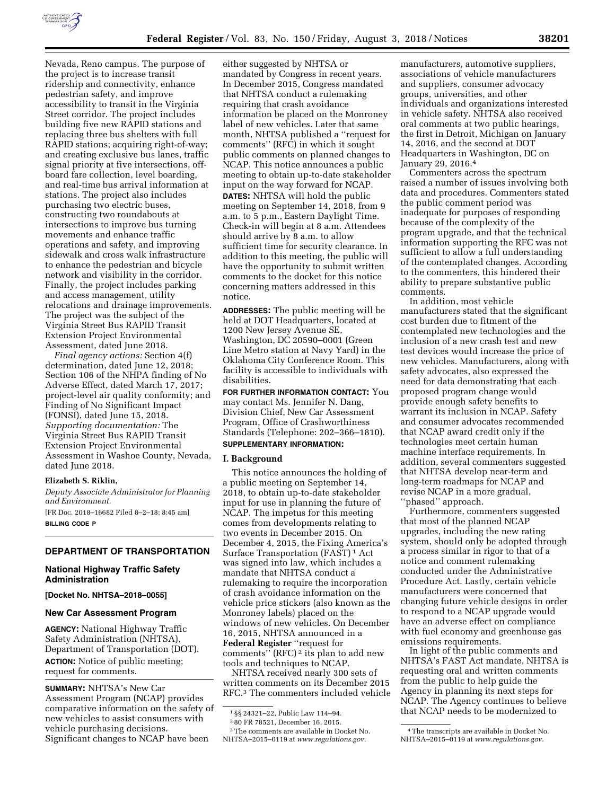

Nevada, Reno campus. The purpose of the project is to increase transit ridership and connectivity, enhance pedestrian safety, and improve accessibility to transit in the Virginia Street corridor. The project includes building five new RAPID stations and replacing three bus shelters with full RAPID stations; acquiring right-of-way; and creating exclusive bus lanes, traffic signal priority at five intersections, offboard fare collection, level boarding, and real-time bus arrival information at stations. The project also includes purchasing two electric buses, constructing two roundabouts at intersections to improve bus turning movements and enhance traffic operations and safety, and improving sidewalk and cross walk infrastructure to enhance the pedestrian and bicycle network and visibility in the corridor. Finally, the project includes parking and access management, utility relocations and drainage improvements. The project was the subject of the Virginia Street Bus RAPID Transit Extension Project Environmental Assessment, dated June 2018.

*Final agency actions:* Section 4(f) determination, dated June 12, 2018; Section 106 of the NHPA finding of No Adverse Effect, dated March 17, 2017; project-level air quality conformity; and Finding of No Significant Impact (FONSI), dated June 15, 2018. *Supporting documentation:* The Virginia Street Bus RAPID Transit Extension Project Environmental Assessment in Washoe County, Nevada, dated June 2018.

#### **Elizabeth S. Riklin,**

*Deputy Associate Administrator for Planning and Environment.* 

[FR Doc. 2018–16682 Filed 8–2–18; 8:45 am] **BILLING CODE P** 

# **DEPARTMENT OF TRANSPORTATION**

## **National Highway Traffic Safety Administration**

**[Docket No. NHTSA–2018–0055]** 

#### **New Car Assessment Program**

**AGENCY:** National Highway Traffic Safety Administration (NHTSA), Department of Transportation (DOT). **ACTION:** Notice of public meeting; request for comments.

**SUMMARY:** NHTSA's New Car Assessment Program (NCAP) provides comparative information on the safety of new vehicles to assist consumers with vehicle purchasing decisions. Significant changes to NCAP have been

either suggested by NHTSA or mandated by Congress in recent years. In December 2015, Congress mandated that NHTSA conduct a rulemaking requiring that crash avoidance information be placed on the Monroney label of new vehicles. Later that same month, NHTSA published a ''request for comments'' (RFC) in which it sought public comments on planned changes to NCAP. This notice announces a public meeting to obtain up-to-date stakeholder input on the way forward for NCAP.

**DATES:** NHTSA will hold the public meeting on September 14, 2018, from 9 a.m. to 5 p.m., Eastern Daylight Time. Check-in will begin at 8 a.m. Attendees should arrive by 8 a.m. to allow sufficient time for security clearance. In addition to this meeting, the public will have the opportunity to submit written comments to the docket for this notice concerning matters addressed in this notice.

**ADDRESSES:** The public meeting will be held at DOT Headquarters, located at 1200 New Jersey Avenue SE, Washington, DC 20590–0001 (Green Line Metro station at Navy Yard) in the Oklahoma City Conference Room. This facility is accessible to individuals with disabilities.

**FOR FURTHER INFORMATION CONTACT:** You may contact Ms. Jennifer N. Dang, Division Chief, New Car Assessment Program, Office of Crashworthiness Standards (Telephone: 202–366–1810).

#### **SUPPLEMENTARY INFORMATION:**

#### **I. Background**

This notice announces the holding of a public meeting on September 14, 2018, to obtain up-to-date stakeholder input for use in planning the future of NCAP. The impetus for this meeting comes from developments relating to two events in December 2015. On December 4, 2015, the Fixing America's Surface Transportation (FAST) 1 Act was signed into law, which includes a mandate that NHTSA conduct a rulemaking to require the incorporation of crash avoidance information on the vehicle price stickers (also known as the Monroney labels) placed on the windows of new vehicles. On December 16, 2015, NHTSA announced in a **Federal Register** ''request for comments'' (RFC) 2 its plan to add new tools and techniques to NCAP.

NHTSA received nearly 300 sets of written comments on its December 2015 RFC.3 The commenters included vehicle

3The comments are available in Docket No. NHTSA–2015–0119 at *[www.regulations.gov.](http://www.regulations.gov)* 

manufacturers, automotive suppliers, associations of vehicle manufacturers and suppliers, consumer advocacy groups, universities, and other individuals and organizations interested in vehicle safety. NHTSA also received oral comments at two public hearings, the first in Detroit, Michigan on January 14, 2016, and the second at DOT Headquarters in Washington, DC on January 29, 2016.4

Commenters across the spectrum raised a number of issues involving both data and procedures. Commenters stated the public comment period was inadequate for purposes of responding because of the complexity of the program upgrade, and that the technical information supporting the RFC was not sufficient to allow a full understanding of the contemplated changes. According to the commenters, this hindered their ability to prepare substantive public comments.

In addition, most vehicle manufacturers stated that the significant cost burden due to fitment of the contemplated new technologies and the inclusion of a new crash test and new test devices would increase the price of new vehicles. Manufacturers, along with safety advocates, also expressed the need for data demonstrating that each proposed program change would provide enough safety benefits to warrant its inclusion in NCAP. Safety and consumer advocates recommended that NCAP award credit only if the technologies meet certain human machine interface requirements. In addition, several commenters suggested that NHTSA develop near-term and long-term roadmaps for NCAP and revise NCAP in a more gradual, 'phased'' approach.

Furthermore, commenters suggested that most of the planned NCAP upgrades, including the new rating system, should only be adopted through a process similar in rigor to that of a notice and comment rulemaking conducted under the Administrative Procedure Act. Lastly, certain vehicle manufacturers were concerned that changing future vehicle designs in order to respond to a NCAP upgrade would have an adverse effect on compliance with fuel economy and greenhouse gas emissions requirements.

In light of the public comments and NHTSA's FAST Act mandate, NHTSA is requesting oral and written comments from the public to help guide the Agency in planning its next steps for NCAP. The Agency continues to believe that NCAP needs to be modernized to

<sup>1</sup> §§ 24321–22, Public Law 114–94.

<sup>2</sup> 80 FR 78521, December 16, 2015.

<sup>4</sup>The transcripts are available in Docket No. NHTSA–2015–0119 at *[www.regulations.gov.](http://www.regulations.gov)*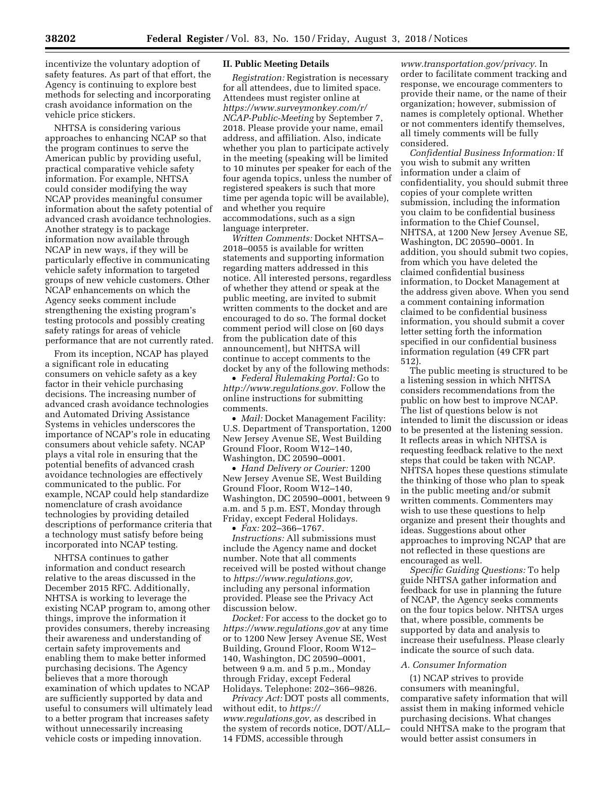incentivize the voluntary adoption of safety features. As part of that effort, the Agency is continuing to explore best methods for selecting and incorporating crash avoidance information on the vehicle price stickers.

NHTSA is considering various approaches to enhancing NCAP so that the program continues to serve the American public by providing useful, practical comparative vehicle safety information. For example, NHTSA could consider modifying the way NCAP provides meaningful consumer information about the safety potential of advanced crash avoidance technologies. Another strategy is to package information now available through NCAP in new ways, if they will be particularly effective in communicating vehicle safety information to targeted groups of new vehicle customers. Other NCAP enhancements on which the Agency seeks comment include strengthening the existing program's testing protocols and possibly creating safety ratings for areas of vehicle performance that are not currently rated.

From its inception, NCAP has played a significant role in educating consumers on vehicle safety as a key factor in their vehicle purchasing decisions. The increasing number of advanced crash avoidance technologies and Automated Driving Assistance Systems in vehicles underscores the importance of NCAP's role in educating consumers about vehicle safety. NCAP plays a vital role in ensuring that the potential benefits of advanced crash avoidance technologies are effectively communicated to the public. For example, NCAP could help standardize nomenclature of crash avoidance technologies by providing detailed descriptions of performance criteria that a technology must satisfy before being incorporated into NCAP testing.

NHTSA continues to gather information and conduct research relative to the areas discussed in the December 2015 RFC. Additionally, NHTSA is working to leverage the existing NCAP program to, among other things, improve the information it provides consumers, thereby increasing their awareness and understanding of certain safety improvements and enabling them to make better informed purchasing decisions. The Agency believes that a more thorough examination of which updates to NCAP are sufficiently supported by data and useful to consumers will ultimately lead to a better program that increases safety without unnecessarily increasing vehicle costs or impeding innovation.

### **II. Public Meeting Details**

*Registration:* Registration is necessary for all attendees, due to limited space. Attendees must register online at *[https://www.surveymonkey.com/r/](https://www.surveymonkey.com/r/NCAP-Public-Meeting)  [NCAP-Public-Meeting](https://www.surveymonkey.com/r/NCAP-Public-Meeting)* by September 7, 2018. Please provide your name, email address, and affiliation. Also, indicate whether you plan to participate actively in the meeting (speaking will be limited to 10 minutes per speaker for each of the four agenda topics, unless the number of registered speakers is such that more time per agenda topic will be available), and whether you require accommodations, such as a sign language interpreter.

*Written Comments:* Docket NHTSA– 2018–0055 is available for written statements and supporting information regarding matters addressed in this notice. All interested persons, regardless of whether they attend or speak at the public meeting, are invited to submit written comments to the docket and are encouraged to do so. The formal docket comment period will close on [60 days from the publication date of this announcement], but NHTSA will continue to accept comments to the docket by any of the following methods:

• *Federal Rulemaking Portal:* Go to *[http://www.regulations.gov.](http://www.regulations.gov)* Follow the online instructions for submitting comments.

• *Mail:* Docket Management Facility: U.S. Department of Transportation, 1200 New Jersey Avenue SE, West Building Ground Floor, Room W12–140, Washington, DC 20590–0001.

• *Hand Delivery or Courier:* 1200 New Jersey Avenue SE, West Building Ground Floor, Room W12–140, Washington, DC 20590–0001, between 9 a.m. and 5 p.m. EST, Monday through Friday, except Federal Holidays.

• *Fax:* 202–366–1767. *Instructions:* All submissions must include the Agency name and docket number. Note that all comments received will be posted without change to *[https://www.regulations.gov,](https://www.regulations.gov)*  including any personal information provided. Please see the Privacy Act discussion below.

*Docket:* For access to the docket go to *<https://www.regulations.gov>* at any time or to 1200 New Jersey Avenue SE, West Building, Ground Floor, Room W12– 140, Washington, DC 20590–0001, between 9 a.m. and 5 p.m., Monday through Friday, except Federal Holidays. Telephone: 202–366–9826.

*Privacy Act:* DOT posts all comments, without edit, to *[https://](https://www.regulations.gov) [www.regulations.gov,](https://www.regulations.gov)* as described in the system of records notice, DOT/ALL– 14 FDMS, accessible through

*[www.transportation.gov/privacy.](http://www.transportation.gov/privacy)* In order to facilitate comment tracking and response, we encourage commenters to provide their name, or the name of their organization; however, submission of names is completely optional. Whether or not commenters identify themselves, all timely comments will be fully considered.

*Confidential Business Information:* If you wish to submit any written information under a claim of confidentiality, you should submit three copies of your complete written submission, including the information you claim to be confidential business information to the Chief Counsel, NHTSA, at 1200 New Jersey Avenue SE, Washington, DC 20590–0001. In addition, you should submit two copies, from which you have deleted the claimed confidential business information, to Docket Management at the address given above. When you send a comment containing information claimed to be confidential business information, you should submit a cover letter setting forth the information specified in our confidential business information regulation (49 CFR part 512).

The public meeting is structured to be a listening session in which NHTSA considers recommendations from the public on how best to improve NCAP. The list of questions below is not intended to limit the discussion or ideas to be presented at the listening session. It reflects areas in which NHTSA is requesting feedback relative to the next steps that could be taken with NCAP. NHTSA hopes these questions stimulate the thinking of those who plan to speak in the public meeting and/or submit written comments. Commenters may wish to use these questions to help organize and present their thoughts and ideas. Suggestions about other approaches to improving NCAP that are not reflected in these questions are encouraged as well.

*Specific Guiding Questions:* To help guide NHTSA gather information and feedback for use in planning the future of NCAP, the Agency seeks comments on the four topics below. NHTSA urges that, where possible, comments be supported by data and analysis to increase their usefulness. Please clearly indicate the source of such data.

#### *A. Consumer Information*

(1) NCAP strives to provide consumers with meaningful, comparative safety information that will assist them in making informed vehicle purchasing decisions. What changes could NHTSA make to the program that would better assist consumers in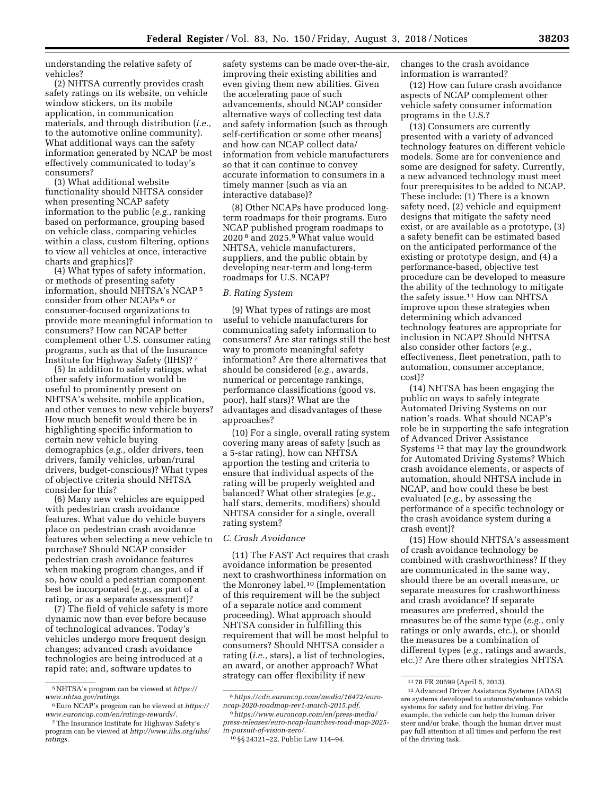understanding the relative safety of vehicles?

(2) NHTSA currently provides crash safety ratings on its website, on vehicle window stickers, on its mobile application, in communication materials, and through distribution (*i.e.,*  to the automotive online community). What additional ways can the safety information generated by NCAP be most effectively communicated to today's consumers?

(3) What additional website functionality should NHTSA consider when presenting NCAP safety information to the public (*e.g.,* ranking based on performance, grouping based on vehicle class, comparing vehicles within a class, custom filtering, options to view all vehicles at once, interactive charts and graphics)?

(4) What types of safety information, or methods of presenting safety information, should NHTSA's NCAP 5 consider from other NCAPs 6 or consumer-focused organizations to provide more meaningful information to consumers? How can NCAP better complement other U.S. consumer rating programs, such as that of the Insurance Institute for Highway Safety (IIHS)? 7

(5) In addition to safety ratings, what other safety information would be useful to prominently present on NHTSA's website, mobile application, and other venues to new vehicle buyers? How much benefit would there be in highlighting specific information to certain new vehicle buying demographics (*e.g.,* older drivers, teen drivers, family vehicles, urban/rural drivers, budget-conscious)? What types of objective criteria should NHTSA consider for this?

(6) Many new vehicles are equipped with pedestrian crash avoidance features. What value do vehicle buyers place on pedestrian crash avoidance features when selecting a new vehicle to purchase? Should NCAP consider pedestrian crash avoidance features when making program changes, and if so, how could a pedestrian component best be incorporated (*e.g.,* as part of a rating, or as a separate assessment)?

(7) The field of vehicle safety is more dynamic now than ever before because of technological advances. Today's vehicles undergo more frequent design changes; advanced crash avoidance technologies are being introduced at a rapid rate; and, software updates to

safety systems can be made over-the-air, improving their existing abilities and even giving them new abilities. Given the accelerating pace of such advancements, should NCAP consider alternative ways of collecting test data and safety information (such as through self-certification or some other means) and how can NCAP collect data/ information from vehicle manufacturers so that it can continue to convey accurate information to consumers in a timely manner (such as via an interactive database)?

(8) Other NCAPs have produced longterm roadmaps for their programs. Euro NCAP published program roadmaps to 2020 8 and 2025.9 What value would NHTSA, vehicle manufacturers, suppliers, and the public obtain by developing near-term and long-term roadmaps for U.S. NCAP?

#### *B. Rating System*

(9) What types of ratings are most useful to vehicle manufacturers for communicating safety information to consumers? Are star ratings still the best way to promote meaningful safety information? Are there alternatives that should be considered (*e.g.,* awards, numerical or percentage rankings, performance classifications (good vs. poor), half stars)? What are the advantages and disadvantages of these approaches?

(10) For a single, overall rating system covering many areas of safety (such as a 5-star rating), how can NHTSA apportion the testing and criteria to ensure that individual aspects of the rating will be properly weighted and balanced? What other strategies (*e.g.,*  half stars, demerits, modifiers) should NHTSA consider for a single, overall rating system?

#### *C. Crash Avoidance*

(11) The FAST Act requires that crash avoidance information be presented next to crashworthiness information on the Monroney label.10 (Implementation of this requirement will be the subject of a separate notice and comment proceeding). What approach should NHTSA consider in fulfilling this requirement that will be most helpful to consumers? Should NHTSA consider a rating (*i.e.,* stars), a list of technologies, an award, or another approach? What strategy can offer flexibility if new

changes to the crash avoidance information is warranted?

(12) How can future crash avoidance aspects of NCAP complement other vehicle safety consumer information programs in the U.S.?

(13) Consumers are currently presented with a variety of advanced technology features on different vehicle models. Some are for convenience and some are designed for safety. Currently, a new advanced technology must meet four prerequisites to be added to NCAP. These include: (1) There is a known safety need, (2) vehicle and equipment designs that mitigate the safety need exist, or are available as a prototype, (3) a safety benefit can be estimated based on the anticipated performance of the existing or prototype design, and (4) a performance-based, objective test procedure can be developed to measure the ability of the technology to mitigate the safety issue.11 How can NHTSA improve upon these strategies when determining which advanced technology features are appropriate for inclusion in NCAP? Should NHTSA also consider other factors (*e.g.,*  effectiveness, fleet penetration, path to automation, consumer acceptance, cost)?

(14) NHTSA has been engaging the public on ways to safely integrate Automated Driving Systems on our nation's roads. What should NCAP's role be in supporting the safe integration of Advanced Driver Assistance Systems 12 that may lay the groundwork for Automated Driving Systems? Which crash avoidance elements, or aspects of automation, should NHTSA include in NCAP, and how could these be best evaluated (*e.g.,* by assessing the performance of a specific technology or the crash avoidance system during a crash event)?

(15) How should NHTSA's assessment of crash avoidance technology be combined with crashworthiness? If they are communicated in the same way, should there be an overall measure, or separate measures for crashworthiness and crash avoidance? If separate measures are preferred, should the measures be of the same type (*e.g.,* only ratings or only awards, etc.), or should the measures be a combination of different types (*e.g.,* ratings and awards, etc.)? Are there other strategies NHTSA

<sup>5</sup>NHTSA's program can be viewed at *[https://](https://www.nhtsa.gov/ratings) [www.nhtsa.gov/ratings.](https://www.nhtsa.gov/ratings)* 

<sup>6</sup>Euro NCAP's program can be viewed at *[https://](https://www.euroncap.com/en/ratings-rewards/) [www.euroncap.com/en/ratings-rewards/.](https://www.euroncap.com/en/ratings-rewards/)* 

<sup>7</sup>The Insurance Institute for Highway Safety's program can be viewed at *[http://www.iihs.org/iihs/](http://www.iihs.org/iihs/ratings)  [ratings.](http://www.iihs.org/iihs/ratings)* 

<sup>8</sup>*[https://cdn.euroncap.com/media/16472/euro](https://cdn.euroncap.com/media/16472/euro-ncap-2020-roadmap-rev1-march-2015.pdf)[ncap-2020-roadmap-rev1-march-2015.pdf.](https://cdn.euroncap.com/media/16472/euro-ncap-2020-roadmap-rev1-march-2015.pdf)* 

<sup>9</sup>*[https://www.euroncap.com/en/press-media/](https://www.euroncap.com/en/press-media/press-releases/euro-ncap-launches-road-map-2025-in-pursuit-of-vision-zero/)  [press-releases/euro-ncap-launches-road-map-2025](https://www.euroncap.com/en/press-media/press-releases/euro-ncap-launches-road-map-2025-in-pursuit-of-vision-zero/) [in-pursuit-of-vision-zero/.](https://www.euroncap.com/en/press-media/press-releases/euro-ncap-launches-road-map-2025-in-pursuit-of-vision-zero/)* 

<sup>10</sup> §§ 24321–22, Public Law 114–94.

<sup>11</sup> 78 FR 20599 (April 5, 2013).

<sup>12</sup>Advanced Driver Assistance Systems (ADAS) are systems developed to automate/enhance vehicle systems for safety and for better driving. For example, the vehicle can help the human driver steer and/or brake, though the human driver must pay full attention at all times and perform the rest of the driving task.